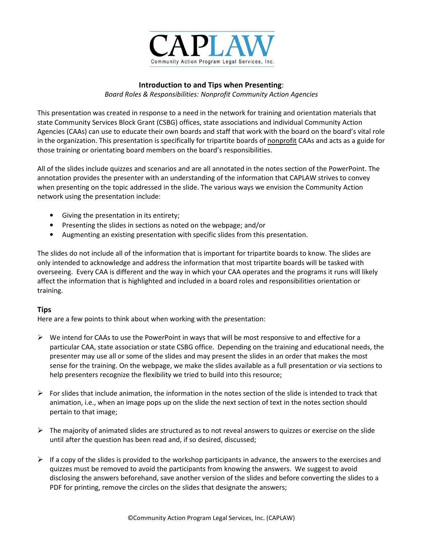

## **Introduction to and Tips when Presenting**:

*Board Roles & Responsibilities: Nonprofit Community Action Agencies* 

This presentation was created in response to a need in the network for training and orientation materials that state Community Services Block Grant (CSBG) offices, state associations and individual Community Action Agencies (CAAs) can use to educate their own boards and staff that work with the board on the board's vital role in the organization. This presentation is specifically for tripartite boards of nonprofit CAAs and acts as a guide for those training or orientating board members on the board's responsibilities.

All of the slides include quizzes and scenarios and are all annotated in the notes section of the PowerPoint. The annotation provides the presenter with an understanding of the information that CAPLAW strives to convey when presenting on the topic addressed in the slide. The various ways we envision the Community Action network using the presentation include:

- Giving the presentation in its entirety;
- Presenting the slides in sections as noted on the webpage; and/or
- Augmenting an existing presentation with specific slides from this presentation.

The slides do not include all of the information that is important for tripartite boards to know. The slides are only intended to acknowledge and address the information that most tripartite boards will be tasked with overseeing. Every CAA is different and the way in which your CAA operates and the programs it runs will likely affect the information that is highlighted and included in a board roles and responsibilities orientation or training.

## **Tips**

Here are a few points to think about when working with the presentation:

- $\triangleright$  We intend for CAAs to use the PowerPoint in ways that will be most responsive to and effective for a particular CAA, state association or state CSBG office. Depending on the training and educational needs, the presenter may use all or some of the slides and may present the slides in an order that makes the most sense for the training. On the webpage, we make the slides available as a full presentation or via sections to help presenters recognize the flexibility we tried to build into this resource;
- $\triangleright$  For slides that include animation, the information in the notes section of the slide is intended to track that animation, i.e., when an image pops up on the slide the next section of text in the notes section should pertain to that image;
- $\triangleright$  The majority of animated slides are structured as to not reveal answers to quizzes or exercise on the slide until after the question has been read and, if so desired, discussed;
- $\triangleright$  If a copy of the slides is provided to the workshop participants in advance, the answers to the exercises and quizzes must be removed to avoid the participants from knowing the answers. We suggest to avoid disclosing the answers beforehand, save another version of the slides and before converting the slides to a PDF for printing, remove the circles on the slides that designate the answers;